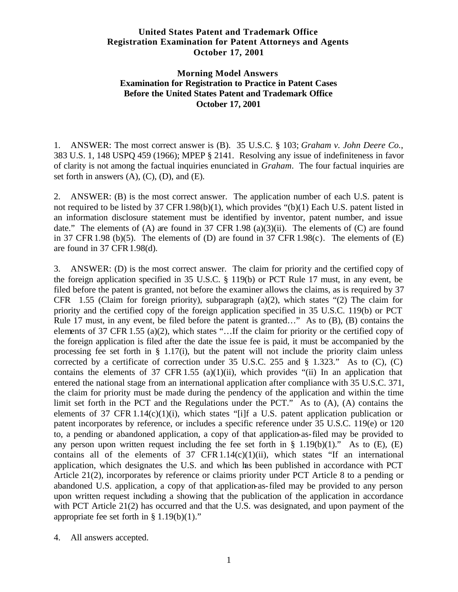# **United States Patent and Trademark Office Registration Examination for Patent Attorneys and Agents October 17, 2001**

# **Morning Model Answers Examination for Registration to Practice in Patent Cases Before the United States Patent and Trademark Office October 17, 2001**

1. ANSWER: The most correct answer is (B). 35 U.S.C. § 103; *Graham v. John Deere Co.*, 383 U.S. 1, 148 USPQ 459 (1966); MPEP § 2141. Resolving any issue of indefiniteness in favor of clarity is not among the factual inquiries enunciated in *Graham*. The four factual inquiries are set forth in answers  $(A)$ ,  $(C)$ ,  $(D)$ , and  $(E)$ .

2. ANSWER: (B) is the most correct answer. The application number of each U.S. patent is not required to be listed by 37 CFR1.98(b)(1), which provides "(b)(1) Each U.S. patent listed in an information disclosure statement must be identified by inventor, patent number, and issue date." The elements of  $(A)$  are found in 37 CFR 1.98 (a)(3)(ii). The elements of  $(C)$  are found in 37 CFR 1.98 (b)(5). The elements of (D) are found in 37 CFR 1.98 $(c)$ . The elements of (E) are found in 37 CFR1.98(d).

3. ANSWER: (D) is the most correct answer. The claim for priority and the certified copy of the foreign application specified in 35 U.S.C. § 119(b) or PCT Rule 17 must, in any event, be filed before the patent is granted, not before the examiner allows the claims, as is required by 37 CFR 1.55 (Claim for foreign priority), subparagraph (a)(2), which states "(2) The claim for priority and the certified copy of the foreign application specified in 35 U.S.C. 119(b) or PCT Rule 17 must, in any event, be filed before the patent is granted…" As to (B), (B) contains the elements of 37 CFR 1.55 (a)(2), which states "…If the claim for priority or the certified copy of the foreign application is filed after the date the issue fee is paid, it must be accompanied by the processing fee set forth in  $\S$  1.17(i), but the patent will not include the priority claim unless corrected by a certificate of correction under 35 U.S.C. 255 and § 1.323." As to (C), (C) contains the elements of 37 CFR 1.55 (a)(1)(ii), which provides "(ii) In an application that entered the national stage from an international application after compliance with 35 U.S.C. 371, the claim for priority must be made during the pendency of the application and within the time limit set forth in the PCT and the Regulations under the PCT." As to (A), (A) contains the elements of 37 CFR 1.14(c)(1)(i), which states "[i]f a U.S. patent application publication or patent incorporates by reference, or includes a specific reference under 35 U.S.C. 119(e) or 120 to, a pending or abandoned application, a copy of that application-as-filed may be provided to any person upon written request including the fee set forth in  $\S$  1.19(b)(1)." As to (E), (E) contains all of the elements of 37 CFR  $1.14(c)(1)(ii)$ , which states "If an international application, which designates the U.S. and which has been published in accordance with PCT Article 21(2), incorporates by reference or claims priority under PCT Article 8 to a pending or abandoned U.S. application, a copy of that application-as-filed may be provided to any person upon written request including a showing that the publication of the application in accordance with PCT Article 21(2) has occurred and that the U.S. was designated, and upon payment of the appropriate fee set forth in  $\S 1.19(b)(1)$ ."

4. All answers accepted.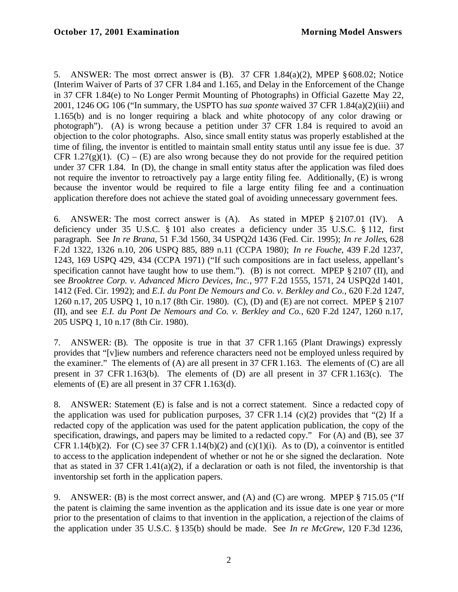5. ANSWER: The most correct answer is  $(B)$ . 37 CFR 1.84 $(a)(2)$ , MPEP §608.02; Notice (Interim Waiver of Parts of 37 CFR 1.84 and 1.165, and Delay in the Enforcement of the Change in 37 CFR 1.84(e) to No Longer Permit Mounting of Photographs) in Official Gazette May 22, 2001, 1246 OG 106 ("In summary, the USPTO has *sua sponte* waived 37 CFR 1.84(a)(2)(iii) and 1.165(b) and is no longer requiring a black and white photocopy of any color drawing or photograph"). (A) is wrong because a petition under 37 CFR 1.84 is required to avoid an objection to the color photographs. Also, since small entity status was properly established at the time of filing, the inventor is entitled to maintain small entity status until any issue fee is due. 37 CFR 1.27(g)(1). (C) – (E) are also wrong because they do not provide for the required petition under 37 CFR 1.84. In (D), the change in small entity status after the application was filed does not require the inventor to retroactively pay a large entity filing fee. Additionally, (E) is wrong because the inventor would be required to file a large entity filing fee and a continuation application therefore does not achieve the stated goal of avoiding unnecessary government fees.

6. ANSWER: The most correct answer is (A). As stated in MPEP § 2107.01 (IV). A deficiency under 35 U.S.C. § 101 also creates a deficiency under 35 U.S.C. § 112, first paragraph. See *In re Brana*, 51 F.3d 1560, 34 USPQ2d 1436 (Fed. Cir. 1995); *In re Jolles*, 628 F.2d 1322, 1326 n.10, 206 USPQ 885, 889 n.11 (CCPA 1980); *In re Fouche*, 439 F.2d 1237, 1243, 169 USPQ 429, 434 (CCPA 1971) ("If such compositions are in fact useless, appellant's specification cannot have taught how to use them."). (B) is not correct. MPEP § 2107 (II), and see *Brooktree Corp. v. Advanced Micro Devices, Inc.*, 977 F.2d 1555, 1571, 24 USPQ2d 1401, 1412 (Fed. Cir. 1992); and *E.I. du Pont De Nemours and Co. v. Berkley and Co.*, 620 F.2d 1247, 1260 n.17, 205 USPQ 1, 10 n.17 (8th Cir. 1980). (C), (D) and (E) are not correct. MPEP § 2107 (II), and see *E.I. du Pont De Nemours and Co. v. Berkley and Co.*, 620 F.2d 1247, 1260 n.17, 205 USPQ 1, 10 n.17 (8th Cir. 1980).

7. ANSWER: (B). The opposite is true in that 37 CFR 1.165 (Plant Drawings) expressly provides that "[v]iew numbers and reference characters need not be employed unless required by the examiner." The elements of  $(A)$  are all present in 37 CFR 1.163. The elements of  $(C)$  are all present in 37 CFR 1.163(b). The elements of (D) are all present in 37 CFR1.163(c). The elements of (E) are all present in 37 CFR 1.163(d).

8. ANSWER: Statement (E) is false and is not a correct statement. Since a redacted copy of the application was used for publication purposes, 37 CFR 1.14 (c)(2) provides that "(2) If a redacted copy of the application was used for the patent application publication, the copy of the specification, drawings, and papers may be limited to a redacted copy." For (A) and (B), see 37 CFR 1.14(b)(2). For (C) see 37 CFR 1.14(b)(2) and (c)(1)(i). As to (D), a coinventor is entitled to access to the application independent of whether or not he or she signed the declaration. Note that as stated in 37 CFR 1.41(a)(2), if a declaration or oath is not filed, the inventorship is that inventorship set forth in the application papers.

9. ANSWER: (B) is the most correct answer, and (A) and (C) are wrong. MPEP § 715.05 ("If the patent is claiming the same invention as the application and its issue date is one year or more prior to the presentation of claims to that invention in the application, a rejection of the claims of the application under 35 U.S.C. §135(b) should be made. See *In re McGrew*, 120 F.3d 1236,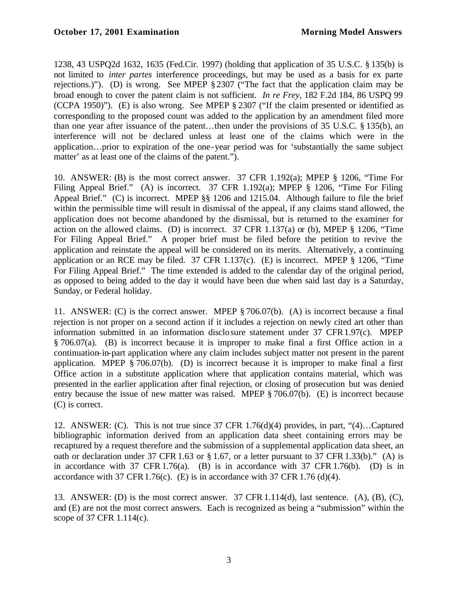1238, 43 USPQ2d 1632, 1635 (Fed.Cir. 1997) (holding that application of 35 U.S.C. § 135(b) is not limited to *inter partes* interference proceedings, but may be used as a basis for ex parte rejections.)"). (D) is wrong. See MPEP § 2307 ("The fact that the application claim may be broad enough to cover the patent claim is not sufficient. *In re Frey*, 182 F.2d 184, 86 USPQ 99 (CCPA 1950)"). (E) is also wrong. See MPEP § 2307 ("If the claim presented or identified as corresponding to the proposed count was added to the application by an amendment filed more than one year after issuance of the patent…then under the provisions of 35 U.S.C. § 135(b), an interference will not be declared unless at least one of the claims which were in the application…prior to expiration of the one-year period was for 'substantially the same subject matter' as at least one of the claims of the patent.").

10. ANSWER: (B) is the most correct answer. 37 CFR 1.192(a); MPEP § 1206, "Time For Filing Appeal Brief." (A) is incorrect. 37 CFR 1.192(a); MPEP § 1206, "Time For Filing Appeal Brief." (C) is incorrect. MPEP §§ 1206 and 1215.04. Although failure to file the brief within the permissible time will result in dismissal of the appeal, if any claims stand allowed, the application does not become abandoned by the dismissal, but is returned to the examiner for action on the allowed claims. (D) is incorrect. 37 CFR 1.137(a) or (b), MPEP § 1206, "Time For Filing Appeal Brief." A proper brief must be filed before the petition to revive the application and reinstate the appeal will be considered on its merits. Alternatively, a continuing application or an RCE may be filed. 37 CFR 1.137(c). (E) is incorrect. MPEP § 1206, "Time For Filing Appeal Brief." The time extended is added to the calendar day of the original period, as opposed to being added to the day it would have been due when said last day is a Saturday, Sunday, or Federal holiday.

11. ANSWER: (C) is the correct answer. MPEP § 706.07(b). (A) is incorrect because a final rejection is not proper on a second action if it includes a rejection on newly cited art other than information submitted in an information disclosure statement under 37 CFR1.97(c). MPEP § 706.07(a). (B) is incorrect because it is improper to make final a first Office action in a continuation-in-part application where any claim includes subject matter not present in the parent application. MPEP § 706.07(b). (D) is incorrect because it is improper to make final a first Office action in a substitute application where that application contains material, which was presented in the earlier application after final rejection, or closing of prosecution but was denied entry because the issue of new matter was raised. MPEP § 706.07(b). (E) is incorrect because (C) is correct.

12. ANSWER: (C). This is not true since 37 CFR 1.76(d)(4) provides, in part, "(4)…Captured bibliographic information derived from an application data sheet containing errors may be recaptured by a request therefore and the submission of a supplemental application data sheet, an oath or declaration under 37 CFR 1.63 or § 1.67, or a letter pursuant to 37 CFR 1.33(b)." (A) is in accordance with 37 CFR 1.76(a). (B) is in accordance with 37 CFR 1.76(b). (D) is in accordance with 37 CFR 1.76(c). (E) is in accordance with 37 CFR 1.76 (d)(4).

13. ANSWER: (D) is the most correct answer. 37 CFR 1.114(d), last sentence. (A), (B), (C), and (E) are not the most correct answers. Each is recognized as being a "submission" within the scope of 37 CFR 1.114(c).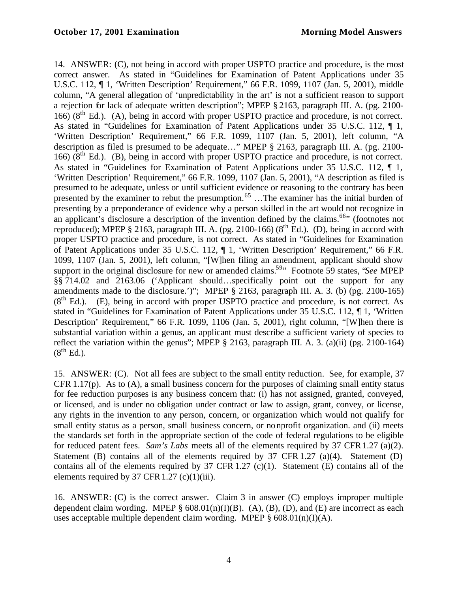14. ANSWER: (C), not being in accord with proper USPTO practice and procedure, is the most correct answer. As stated in "Guidelines for Examination of Patent Applications under 35 U.S.C. 112, ¶ 1, 'Written Description' Requirement," 66 F.R. 1099, 1107 (Jan. 5, 2001), middle column, "A general allegation of 'unpredictability in the art' is not a sufficient reason to support a rejection for lack of adequate written description"; MPEP § 2163, paragraph III. A. (pg. 2100-  $166$ ) ( $8<sup>th</sup>$  Ed.). (A), being in accord with proper USPTO practice and procedure, is not correct. As stated in "Guidelines for Examination of Patent Applications under 35 U.S.C. 112, ¶ 1, 'Written Description' Requirement," 66 F.R. 1099, 1107 (Jan. 5, 2001), left column, "A description as filed is presumed to be adequate…" MPEP § 2163, paragraph III. A. (pg. 2100-  $166$ ) ( $8<sup>th</sup>$  Ed.). (B), being in accord with proper USPTO practice and procedure, is not correct. As stated in "Guidelines for Examination of Patent Applications under 35 U.S.C. 112, ¶ 1, 'Written Description' Requirement," 66 F.R. 1099, 1107 (Jan. 5, 2001), "A description as filed is presumed to be adequate, unless or until sufficient evidence or reasoning to the contrary has been presented by the examiner to rebut the presumption.<sup>65</sup> ...The examiner has the initial burden of presenting by a preponderance of evidence why a person skilled in the art would not recognize in an applicant's disclosure a description of the invention defined by the claims.<sup>66</sup> (footnotes not reproduced); MPEP § 2163, paragraph III. A. (pg. 2100-166) ( $8<sup>th</sup>$  Ed.). (D), being in accord with proper USPTO practice and procedure, is not correct. As stated in "Guidelines for Examination of Patent Applications under 35 U.S.C. 112, ¶ 1, 'Written Description' Requirement," 66 F.R. 1099, 1107 (Jan. 5, 2001), left column, "[W]hen filing an amendment, applicant should show support in the original disclosure for new or amended claims.<sup>59</sup>" Footnote 59 states, "*See* MPEP §§ 714.02 and 2163.06 ('Applicant should…specifically point out the support for any amendments made to the disclosure.')"; MPEP § 2163, paragraph III. A. 3. (b) (pg. 2100-165)  $(8<sup>th</sup> Ed.)$ . (E), being in accord with proper USPTO practice and procedure, is not correct. As stated in "Guidelines for Examination of Patent Applications under 35 U.S.C. 112, ¶ 1, 'Written Description' Requirement," 66 F.R. 1099, 1106 (Jan. 5, 2001), right column, "[W]hen there is substantial variation within a genus, an applicant must describe a sufficient variety of species to reflect the variation within the genus"; MPEP  $\S$  2163, paragraph III. A. 3. (a)(ii) (pg. 2100-164)  $(8^{th}$  Ed.).

15. ANSWER: (C). Not all fees are subject to the small entity reduction. See, for example, 37 CFR 1.17(p). As to (A), a small business concern for the purposes of claiming small entity status for fee reduction purposes is any business concern that: (i) has not assigned, granted, conveyed, or licensed, and is under no obligation under contract or law to assign, grant, convey, or license, any rights in the invention to any person, concern, or organization which would not qualify for small entity status as a person, small business concern, or nonprofit organization, and (ii) meets the standards set forth in the appropriate section of the code of federal regulations to be eligible for reduced patent fees. *Sam's Labs* meets all of the elements required by 37 CFR1.27 (a)(2). Statement (B) contains all of the elements required by 37 CFR 1.27 (a)(4). Statement (D) contains all of the elements required by 37 CFR 1.27 (c)(1). Statement (E) contains all of the elements required by 37 CFR 1.27 (c)(1)(iii).

16. ANSWER: (C) is the correct answer. Claim 3 in answer (C) employs improper multiple dependent claim wording. MPEP  $\S$  608.01(n)(I)(B). (A), (B), (D), and (E) are incorrect as each uses acceptable multiple dependent claim wording. MPEP  $\S$  608.01(n)(I)(A).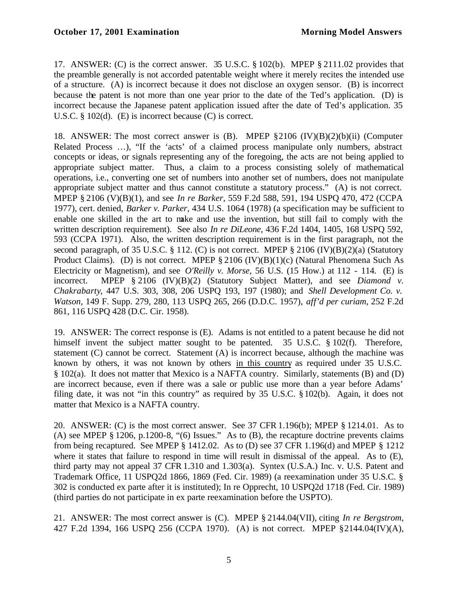17. ANSWER: (C) is the correct answer. 35 U.S.C. § 102(b). MPEP § 2111.02 provides that the preamble generally is not accorded patentable weight where it merely recites the intended use of a structure. (A) is incorrect because it does not disclose an oxygen sensor. (B) is incorrect because the patent is not more than one year prior to the date of the Ted's application. (D) is incorrect because the Japanese patent application issued after the date of Ted's application. 35 U.S.C. § 102(d). (E) is incorrect because (C) is correct.

18. ANSWER: The most correct answer is (B). MPEP §2106 (IV)(B)(2)(b)(ii) (Computer Related Process …), "If the 'acts' of a claimed process manipulate only numbers, abstract concepts or ideas, or signals representing any of the foregoing, the acts are not being applied to appropriate subject matter. Thus, a claim to a process consisting solely of mathematical operations, i.e., converting one set of numbers into another set of numbers, does not manipulate appropriate subject matter and thus cannot constitute a statutory process." (A) is not correct. MPEP § 2106 (V)(B)(1), and see *In re Barker*, 559 F.2d 588, 591, 194 USPQ 470, 472 (CCPA 1977), cert. denied, *Barker v. Parker*, 434 U.S. 1064 (1978) (a specification may be sufficient to enable one skilled in the art to make and use the invention, but still fail to comply with the written description requirement). See also *In re DiLeone*, 436 F.2d 1404, 1405, 168 USPQ 592, 593 (CCPA 1971). Also, the written description requirement is in the first paragraph, not the second paragraph, of 35 U.S.C.  $\S$  112. (C) is not correct. MPEP  $\S$  2106 (IV)(B)(2)(a) (Statutory Product Claims). (D) is not correct. MPEP § 2106 (IV)(B)(1)(c) (Natural Phenomena Such As Electricity or Magnetism), and see *O'Reilly v. Morse*, 56 U.S. (15 How.) at 112 - 114. (E) is incorrect. MPEP § 2106 (IV)(B)(2) (Statutory Subject Matter), and see *Diamond v. Chakrabarty*, 447 U.S. 303, 308, 206 USPQ 193, 197 (1980); and *Shell Development Co. v. Watson*, 149 F. Supp. 279, 280, 113 USPQ 265, 266 (D.D.C. 1957), *aff'd per curiam*, 252 F.2d 861, 116 USPQ 428 (D.C. Cir. 1958).

19. ANSWER: The correct response is (E). Adams is not entitled to a patent because he did not himself invent the subject matter sought to be patented. 35 U.S.C. § 102(f). Therefore, statement (C) cannot be correct. Statement (A) is incorrect because, although the machine was known by others, it was not known by others in this country as required under 35 U.S.C. § 102(a). It does not matter that Mexico is a NAFTA country. Similarly, statements (B) and (D) are incorrect because, even if there was a sale or public use more than a year before Adams' filing date, it was not "in this country" as required by 35 U.S.C. §102(b). Again, it does not matter that Mexico is a NAFTA country.

20. ANSWER: (C) is the most correct answer. See 37 CFR 1.196(b); MPEP § 1214.01. As to (A) see MPEP § 1206, p.1200-8, "(6) Issues." As to (B), the recapture doctrine prevents claims from being recaptured. See MPEP § 1412.02. As to (D) see 37 CFR 1.196(d) and MPEP § 1212 where it states that failure to respond in time will result in dismissal of the appeal. As to (E), third party may not appeal 37 CFR 1.310 and 1.303(a). Syntex (U.S.A.) Inc. v. U.S. Patent and Trademark Office, 11 USPQ2d 1866, 1869 (Fed. Cir. 1989) (a reexamination under 35 U.S.C. § 302 is conducted ex parte after it is instituted); In re Opprecht, 10 USPQ2d 1718 (Fed. Cir. 1989) (third parties do not participate in ex parte reexamination before the USPTO).

21. ANSWER: The most correct answer is (C). MPEP § 2144.04(VII), citing *In re Bergstrom*, 427 F.2d 1394, 166 USPQ 256 (CCPA 1970). (A) is not correct. MPEP §2144.04(IV)(A),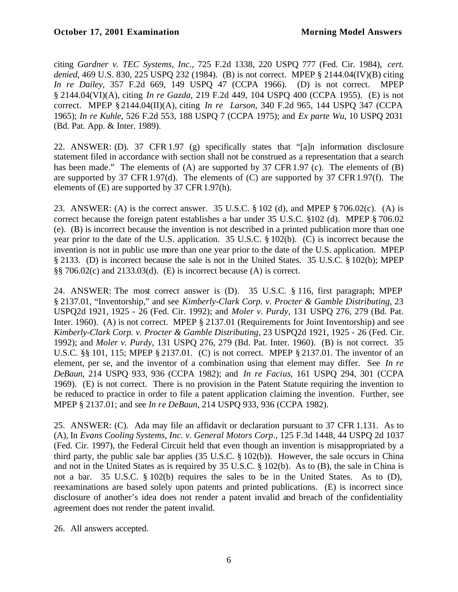citing *Gardner v. TEC Systems, Inc.*, 725 F.2d 1338, 220 USPQ 777 (Fed. Cir. 1984), *cert. denied*, 469 U.S. 830, 225 USPQ 232 (1984). (B) is not correct. MPEP § 2144.04(IV)(B) citing *In re Dailey*, 357 F.2d 669, 149 USPQ 47 (CCPA 1966). (D) is not correct. MPEP § 2144.04(VI)(A), citing *In re Gazda*, 219 F.2d 449, 104 USPQ 400 (CCPA 1955). (E) is not correct. MPEP § 2144.04(II)(A), citing *In re Larson*, 340 F.2d 965, 144 USPQ 347 (CCPA 1965); *In re Kuhle*, 526 F.2d 553, 188 USPQ 7 (CCPA 1975); and *Ex parte Wu*, 10 USPQ 2031 (Bd. Pat. App. & Inter. 1989).

22. ANSWER: (D). 37 CFR 1.97 (g) specifically states that "[a]n information disclosure statement filed in accordance with section shall not be construed as a representation that a search has been made." The elements of (A) are supported by 37 CFR 1.97 (c). The elements of (B) are supported by 37 CFR 1.97(d). The elements of  $(C)$  are supported by 37 CFR 1.97(f). The elements of (E) are supported by 37 CFR1.97(h).

23. ANSWER: (A) is the correct answer. 35 U.S.C.  $\S 102$  (d), and MPEP  $\S 706.02$  (c). (A) is correct because the foreign patent establishes a bar under 35 U.S.C. §102 (d). MPEP § 706.02 (e). (B) is incorrect because the invention is not described in a printed publication more than one year prior to the date of the U.S. application. 35 U.S.C. § 102(b). (C) is incorrect because the invention is not in public use more than one year prior to the date of the U.S. application. MPEP § 2133. (D) is incorrect because the sale is not in the United States. 35 U.S.C. § 102(b); MPEP §§ 706.02(c) and 2133.03(d). (E) is incorrect because (A) is correct.

24. ANSWER: The most correct answer is (D). 35 U.S.C. § 116, first paragraph; MPEP § 2137.01, "Inventorship," and see *Kimberly-Clark Corp. v. Procter & Gamble Distributing*, 23 USPQ2d 1921, 1925 - 26 (Fed. Cir. 1992); and *Moler v. Purdy*, 131 USPQ 276, 279 (Bd. Pat. Inter. 1960). (A) is not correct. MPEP § 2137.01 (Requirements for Joint Inventorship) and see *Kimberly-Clark Corp. v. Procter & Gamble Distributing*, 23 USPQ2d 1921, 1925 - 26 (Fed. Cir. 1992); and *Moler v. Purdy*, 131 USPQ 276, 279 (Bd. Pat. Inter. 1960). (B) is not correct. 35 U.S.C. §§ 101, 115; MPEP § 2137.01. (C) is not correct. MPEP § 2137.01. The inventor of an element, per se, and the inventor of a combination using that element may differ. See *In re DeBaun*, 214 USPQ 933, 936 (CCPA 1982); and *In re Facius*, 161 USPQ 294, 301 (CCPA 1969). (E) is not correct. There is no provision in the Patent Statute requiring the invention to be reduced to practice in order to file a patent application claiming the invention. Further, see MPEP § 2137.01; and see *In re DeBaun*, 214 USPQ 933, 936 (CCPA 1982).

25. ANSWER: (C). Ada may file an affidavit or declaration pursuant to 37 CFR 1.131. As to (A), In *Evans Cooling Systems, Inc. v. General Motors Corp*., 125 F.3d 1448, 44 USPQ 2d 1037 (Fed. Cir. 1997), the Federal Circuit held that even though an invention is misappropriated by a third party, the public sale bar applies (35 U.S.C. § 102(b)). However, the sale occurs in China and not in the United States as is required by 35 U.S.C. § 102(b). As to (B), the sale in China is not a bar. 35 U.S.C. § 102(b) requires the sales to be in the United States. As to (D), reexaminations are based solely upon patents and printed publications. (E) is incorrect since disclosure of another's idea does not render a patent invalid and breach of the confidentiality agreement does not render the patent invalid.

26. All answers accepted.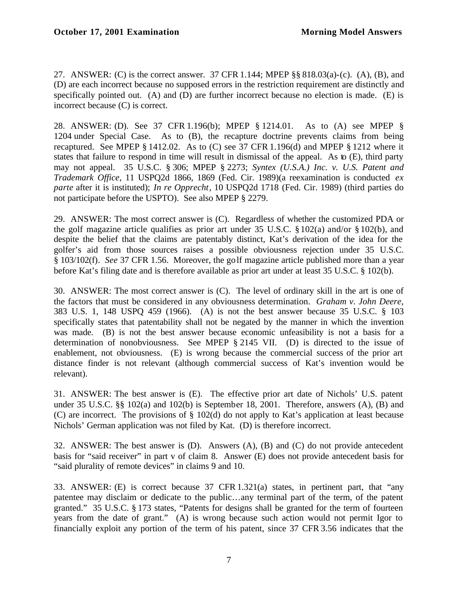27. ANSWER: (C) is the correct answer. 37 CFR 1.144; MPEP §§ 818.03(a)-(c). (A), (B), and (D) are each incorrect because no supposed errors in the restriction requirement are distinctly and specifically pointed out. (A) and (D) are further incorrect because no election is made. (E) is incorrect because (C) is correct.

28. ANSWER: (D). See 37 CFR 1.196(b); MPEP § 1214.01. As to (A) see MPEP § 1204 under Special Case. As to (B), the recapture doctrine prevents claims from being recaptured. See MPEP § 1412.02. As to (C) see 37 CFR 1.196(d) and MPEP § 1212 where it states that failure to respond in time will result in dismissal of the appeal. As to (E), third party may not appeal. 35 U.S.C. § 306; MPEP § 2273; *Syntex (U.S.A.) Inc. v. U.S. Patent and Trademark Office*, 11 USPQ2d 1866, 1869 (Fed. Cir. 1989)(a reexamination is conducted *ex parte* after it is instituted); *In re Opprecht*, 10 USPQ2d 1718 (Fed. Cir. 1989) (third parties do not participate before the USPTO). See also MPEP § 2279.

29. ANSWER: The most correct answer is (C). Regardless of whether the customized PDA or the golf magazine article qualifies as prior art under 35 U.S.C. § 102(a) and/or § 102(b), and despite the belief that the claims are patentably distinct, Kat's derivation of the idea for the golfer's aid from those sources raises a possible obviousness rejection under 35 U.S.C. § 103/102(f)*. See* 37 CFR 1.56. Moreover, the golf magazine article published more than a year before Kat's filing date and is therefore available as prior art under at least 35 U.S.C. § 102(b).

30. ANSWER: The most correct answer is (C). The level of ordinary skill in the art is one of the factors that must be considered in any obviousness determination. *Graham v. John Deere,*  383 U.S. 1, 148 USPQ 459 (1966). (A) is not the best answer because 35 U.S.C. § 103 specifically states that patentability shall not be negated by the manner in which the invention was made. (B) is not the best answer because economic unfeasibility is not a basis for a determination of nonobviousness. See MPEP § 2145 VII. (D) is directed to the issue of enablement, not obviousness. (E) is wrong because the commercial success of the prior art distance finder is not relevant (although commercial success of Kat's invention would be relevant).

31. ANSWER: The best answer is (E). The effective prior art date of Nichols' U.S. patent under 35 U.S.C.  $\&$  102(a) and 102(b) is September 18, 2001. Therefore, answers (A), (B) and (C) are incorrect. The provisions of § 102(d) do not apply to Kat's application at least because Nichols' German application was not filed by Kat. (D) is therefore incorrect.

32. ANSWER: The best answer is (D). Answers (A), (B) and (C) do not provide antecedent basis for "said receiver" in part v of claim 8. Answer (E) does not provide antecedent basis for "said plurality of remote devices" in claims 9 and 10.

33. ANSWER: (E) is correct because 37 CFR 1.321(a) states, in pertinent part, that "any patentee may disclaim or dedicate to the public…any terminal part of the term, of the patent granted." 35 U.S.C. § 173 states, "Patents for designs shall be granted for the term of fourteen years from the date of grant." (A) is wrong because such action would not permit Igor to financially exploit any portion of the term of his patent, since 37 CFR 3.56 indicates that the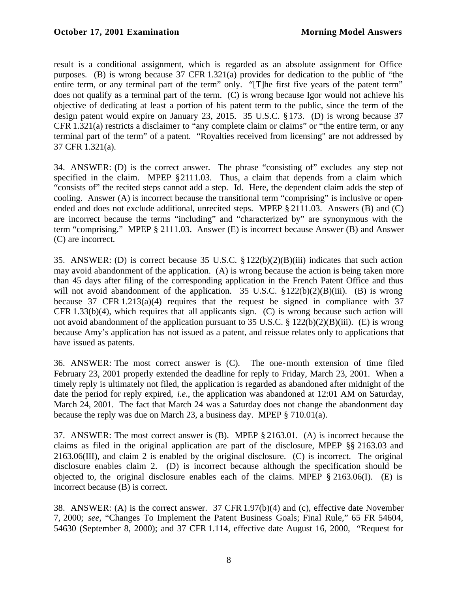result is a conditional assignment, which is regarded as an absolute assignment for Office purposes. (B) is wrong because 37 CFR 1.321(a) provides for dedication to the public of "the entire term, or any terminal part of the term" only. "[T]he first five years of the patent term" does not qualify as a terminal part of the term. (C) is wrong because Igor would not achieve his objective of dedicating at least a portion of his patent term to the public, since the term of the design patent would expire on January 23, 2015. 35 U.S.C. § 173. (D) is wrong because 37 CFR 1.321(a) restricts a disclaimer to "any complete claim or claims" or "the entire term, or any terminal part of the term" of a patent. "Royalties received from licensing" are not addressed by 37 CFR 1.321(a).

34. ANSWER: (D) is the correct answer. The phrase "consisting of" excludes any step not specified in the claim. MPEP §2111.03. Thus, a claim that depends from a claim which "consists of" the recited steps cannot add a step. Id. Here, the dependent claim adds the step of cooling. Answer (A) is incorrect because the transitional term "comprising" is inclusive or openended and does not exclude additional, unrecited steps. MPEP § 2111.03. Answers (B) and (C) are incorrect because the terms "including" and "characterized by" are synonymous with the term "comprising." MPEP § 2111.03. Answer (E) is incorrect because Answer (B) and Answer (C) are incorrect.

35. ANSWER: (D) is correct because 35 U.S.C. §122(b)(2)(B)(iii) indicates that such action may avoid abandonment of the application. (A) is wrong because the action is being taken more than 45 days after filing of the corresponding application in the French Patent Office and thus will not avoid abandonment of the application. 35 U.S.C. §122(b)(2)(B)(iii). (B) is wrong because 37 CFR  $1.213(a)(4)$  requires that the request be signed in compliance with 37 CFR 1.33(b)(4), which requires that all applicants sign. (C) is wrong because such action will not avoid abandonment of the application pursuant to 35 U.S.C. § 122(b)(2)(B)(iii). (E) is wrong because Amy's application has not issued as a patent, and reissue relates only to applications that have issued as patents.

36. ANSWER: The most correct answer is (C). The one-month extension of time filed February 23, 2001 properly extended the deadline for reply to Friday, March 23, 2001. When a timely reply is ultimately not filed, the application is regarded as abandoned after midnight of the date the period for reply expired, *i.e*., the application was abandoned at 12:01 AM on Saturday, March 24, 2001. The fact that March 24 was a Saturday does not change the abandonment day because the reply was due on March 23, a business day. MPEP § 710.01(a).

37. ANSWER: The most correct answer is (B). MPEP § 2163.01. (A) is incorrect because the claims as filed in the original application are part of the disclosure, MPEP §§ 2163.03 and 2163.06(III), and claim 2 is enabled by the original disclosure. (C) is incorrect. The original disclosure enables claim 2. (D) is incorrect because although the specification should be objected to, the original disclosure enables each of the claims. MPEP § 2163.06(I). (E) is incorrect because (B) is correct.

38. ANSWER: (A) is the correct answer. 37 CFR 1.97(b)(4) and (c), effective date November 7, 2000; *see,* "Changes To Implement the Patent Business Goals; Final Rule," 65 FR 54604, 54630 (September 8, 2000); and 37 CFR 1.114, effective date August 16, 2000, "Request for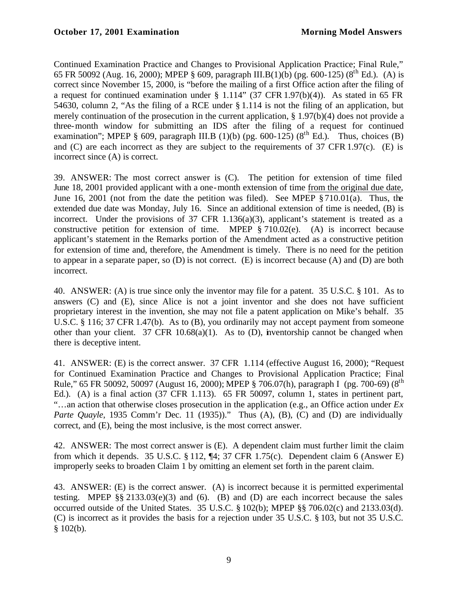Continued Examination Practice and Changes to Provisional Application Practice; Final Rule," 65 FR 50092 (Aug. 16, 2000); MPEP § 609, paragraph III.B(1)(b) (pg. 600-125) (8<sup>th</sup> Ed.). (A) is correct since November 15, 2000, is "before the mailing of a first Office action after the filing of a request for continued examination under  $\S$  1.114" (37 CFR 1.97(b)(4)). As stated in 65 FR 54630, column 2, "As the filing of a RCE under § 1.114 is not the filing of an application, but merely continuation of the prosecution in the current application, § 1.97(b)(4) does not provide a three-month window for submitting an IDS after the filing of a request for continued examination"; MPEP § 609, paragraph III.B (1)(b) (pg. 600-125) ( $8<sup>th</sup>$  Ed.). Thus, choices (B) and  $(C)$  are each incorrect as they are subject to the requirements of 37 CFR 1.97 $(c)$ . (E) is incorrect since (A) is correct.

39. ANSWER: The most correct answer is (C). The petition for extension of time filed June 18, 2001 provided applicant with a one-month extension of time from the original due date, June 16, 2001 (not from the date the petition was filed). See MPEP § 710.01(a). Thus, the extended due date was Monday, July 16. Since an additional extension of time is needed, (B) is incorrect. Under the provisions of  $37$  CFR 1.136(a)(3), applicant's statement is treated as a constructive petition for extension of time. MPEP § 710.02(e). (A) is incorrect because applicant's statement in the Remarks portion of the Amendment acted as a constructive petition for extension of time and, therefore, the Amendment is timely. There is no need for the petition to appear in a separate paper, so (D) is not correct. (E) is incorrect because (A) and (D) are both incorrect.

40. ANSWER: (A) is true since only the inventor may file for a patent. 35 U.S.C. § 101. As to answers (C) and (E), since Alice is not a joint inventor and she does not have sufficient proprietary interest in the invention, she may not file a patent application on Mike's behalf. 35 U.S.C. § 116; 37 CFR 1.47(b). As to (B), you ordinarily may not accept payment from someone other than your client. 37 CFR 10.68(a)(1). As to (D), inventorship cannot be changed when there is deceptive intent.

41. ANSWER: (E) is the correct answer. 37 CFR 1.114 (effective August 16, 2000); "Request for Continued Examination Practice and Changes to Provisional Application Practice; Final Rule," 65 FR 50092, 50097 (August 16, 2000); MPEP § 706.07(h), paragraph I (pg. 700-69) (8th Ed.). (A) is a final action (37 CFR 1.113). 65 FR 50097, column 1, states in pertinent part, "…an action that otherwise closes prosecution in the application (e.g., an Office action under *Ex Parte Quayle*, 1935 Comm'r Dec. 11 (1935))." Thus (A), (B), (C) and (D) are individually correct, and (E), being the most inclusive, is the most correct answer.

42. ANSWER: The most correct answer is (E). A dependent claim must further limit the claim from which it depends. 35 U.S.C.  $\S 112$ ,  $\P 4$ ; 37 CFR 1.75(c). Dependent claim 6 (Answer E) improperly seeks to broaden Claim 1 by omitting an element set forth in the parent claim.

43. ANSWER: (E) is the correct answer. (A) is incorrect because it is permitted experimental testing. MPEP  $\S\S 2133.03(e)(3)$  and (6). (B) and (D) are each incorrect because the sales occurred outside of the United States. 35 U.S.C. § 102(b); MPEP §§ 706.02(c) and 2133.03(d). (C) is incorrect as it provides the basis for a rejection under 35 U.S.C. § 103, but not 35 U.S.C.  $$102(b).$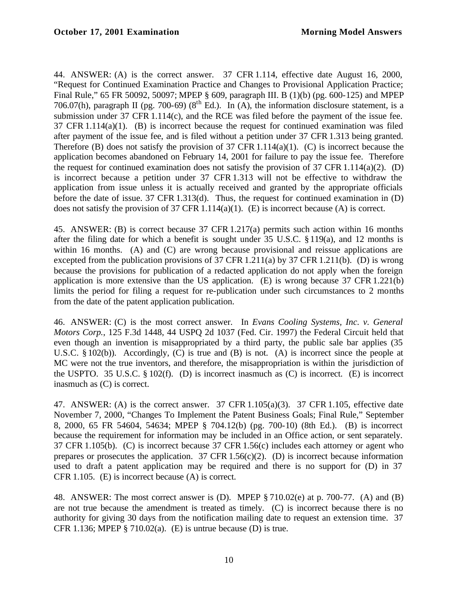44. ANSWER: (A) is the correct answer. 37 CFR 1.114, effective date August 16, 2000, "Request for Continued Examination Practice and Changes to Provisional Application Practice; Final Rule," 65 FR 50092, 50097; MPEP § 609, paragraph III. B (1)(b) (pg. 600-125) and MPEP 706.07(h), paragraph II (pg. 700-69) ( $8<sup>th</sup>$  Ed.). In (A), the information disclosure statement, is a submission under 37 CFR 1.114(c), and the RCE was filed before the payment of the issue fee. 37 CFR 1.114(a)(1). (B) is incorrect because the request for continued examination was filed after payment of the issue fee, and is filed without a petition under 37 CFR 1.313 being granted. Therefore (B) does not satisfy the provision of 37 CFR 1.114(a)(1). (C) is incorrect because the application becomes abandoned on February 14, 2001 for failure to pay the issue fee. Therefore the request for continued examination does not satisfy the provision of 37 CFR 1.114(a)(2). (D) is incorrect because a petition under 37 CFR 1.313 will not be effective to withdraw the application from issue unless it is actually received and granted by the appropriate officials before the date of issue. 37 CFR 1.313(d). Thus, the request for continued examination in (D) does not satisfy the provision of 37 CFR 1.114(a)(1). (E) is incorrect because (A) is correct.

45. ANSWER: (B) is correct because 37 CFR 1.217(a) permits such action within 16 months after the filing date for which a benefit is sought under 35 U.S.C. § 119(a), and 12 months is within 16 months. (A) and (C) are wrong because provisional and reissue applications are excepted from the publication provisions of 37 CFR 1.211(a) by 37 CFR 1.211(b). (D) is wrong because the provisions for publication of a redacted application do not apply when the foreign application is more extensive than the US application. (E) is wrong because 37 CFR 1.221(b) limits the period for filing a request for re-publication under such circumstances to 2 months from the date of the patent application publication.

46. ANSWER: (C) is the most correct answer. In *Evans Cooling Systems, Inc. v. General Motors Corp.*, 125 F.3d 1448, 44 USPQ 2d 1037 (Fed. Cir. 1997) the Federal Circuit held that even though an invention is misappropriated by a third party, the public sale bar applies (35 U.S.C. § 102(b)). Accordingly, (C) is true and (B) is not. (A) is incorrect since the people at MC were not the true inventors, and therefore, the misappropriation is within the jurisdiction of the USPTO. 35 U.S.C.  $\S 102(f)$ . (D) is incorrect inasmuch as (C) is incorrect. (E) is incorrect inasmuch as (C) is correct.

47. ANSWER: (A) is the correct answer. 37 CFR 1.105(a)(3). 37 CFR 1.105, effective date November 7, 2000, "Changes To Implement the Patent Business Goals; Final Rule," September 8, 2000, 65 FR 54604, 54634; MPEP § 704.12(b) (pg. 700-10) (8th Ed.). (B) is incorrect because the requirement for information may be included in an Office action, or sent separately. 37 CFR 1.105(b). (C) is incorrect because 37 CFR 1.56(c) includes each attorney or agent who prepares or prosecutes the application.  $37 \text{ CFR } 1.56(c)(2)$ . (D) is incorrect because information used to draft a patent application may be required and there is no support for (D) in 37 CFR 1.105. (E) is incorrect because (A) is correct.

48. ANSWER: The most correct answer is (D). MPEP § 710.02(e) at p. 700-77. (A) and (B) are not true because the amendment is treated as timely. (C) is incorrect because there is no authority for giving 30 days from the notification mailing date to request an extension time. 37 CFR 1.136; MPEP  $\S$  710.02(a). (E) is untrue because (D) is true.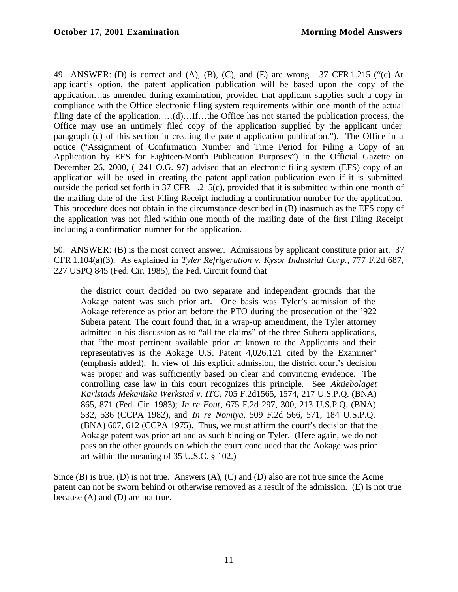49. ANSWER: (D) is correct and (A), (B), (C), and (E) are wrong. 37 CFR 1.215 ("(c) At applicant's option, the patent application publication will be based upon the copy of the application…as amended during examination, provided that applicant supplies such a copy in compliance with the Office electronic filing system requirements within one month of the actual filing date of the application. …(d)…If…the Office has not started the publication process, the Office may use an untimely filed copy of the application supplied by the applicant under paragraph (c) of this section in creating the patent application publication."). The Office in a notice ("Assignment of Confirmation Number and Time Period for Filing a Copy of an Application by EFS for Eighteen-Month Publication Purposes") in the Official Gazette on December 26, 2000, (1241 O.G. 97) advised that an electronic filing system (EFS) copy of an application will be used in creating the patent application publication even if it is submitted outside the period set forth in 37 CFR 1.215(c), provided that it is submitted within one month of the mailing date of the first Filing Receipt including a confirmation number for the application. This procedure does not obtain in the circumstance described in (B) inasmuch as the EFS copy of the application was not filed within one month of the mailing date of the first Filing Receipt including a confirmation number for the application.

50. ANSWER: (B) is the most correct answer. Admissions by applicant constitute prior art. 37 CFR 1.104(a)(3). As explained in *Tyler Refrigeration v. Kysor Industrial Corp.*, 777 F.2d 687, 227 USPQ 845 (Fed. Cir. 1985), the Fed. Circuit found that

the district court decided on two separate and independent grounds that the Aokage patent was such prior art. One basis was Tyler's admission of the Aokage reference as prior art before the PTO during the prosecution of the '922 Subera patent. The court found that, in a wrap-up amendment, the Tyler attorney admitted in his discussion as to "all the claims" of the three Subera applications, that "the most pertinent available prior art known to the Applicants and their representatives is the Aokage U.S. Patent 4,026,121 cited by the Examiner" (emphasis added). In view of this explicit admission, the district court's decision was proper and was sufficiently based on clear and convincing evidence. The controlling case law in this court recognizes this principle. See *Aktiebolaget Karlstads Mekaniska Werkstad v. ITC*, 705 F.2d1565, 1574, 217 U.S.P.Q. (BNA) 865, 871 (Fed. Cir. 1983); *In re Fout*, 675 F.2d 297, 300, 213 U.S.P.Q. (BNA) 532, 536 (CCPA 1982), and *In re Nomiya*, 509 F.2d 566, 571, 184 U.S.P.Q. (BNA) 607, 612 (CCPA 1975). Thus, we must affirm the court's decision that the Aokage patent was prior art and as such binding on Tyler. (Here again, we do not pass on the other grounds on which the court concluded that the Aokage was prior art within the meaning of 35 U.S.C. § 102.)

Since (B) is true, (D) is not true. Answers (A), (C) and (D) also are not true since the Acme patent can not be sworn behind or otherwise removed as a result of the admission. (E) is not true because (A) and (D) are not true.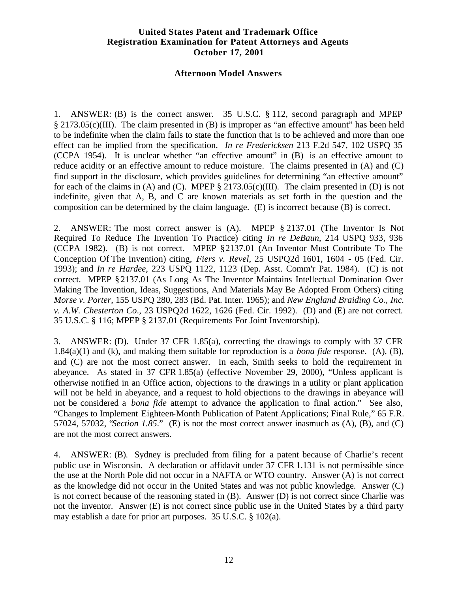# **United States Patent and Trademark Office Registration Examination for Patent Attorneys and Agents October 17, 2001**

#### **Afternoon Model Answers**

1. ANSWER: (B) is the correct answer. 35 U.S.C. § 112, second paragraph and MPEP § 2173.05(c)(III). The claim presented in (B) is improper as "an effective amount" has been held to be indefinite when the claim fails to state the function that is to be achieved and more than one effect can be implied from the specification. *In re Fredericksen* 213 F.2d 547, 102 USPQ 35 (CCPA 1954). It is unclear whether "an effective amount" in (B) is an effective amount to reduce acidity or an effective amount to reduce moisture. The claims presented in (A) and (C) find support in the disclosure, which provides guidelines for determining "an effective amount" for each of the claims in (A) and (C). MPEP  $\S 2173.05(c)(III)$ . The claim presented in (D) is not indefinite, given that A, B, and C are known materials as set forth in the question and the composition can be determined by the claim language. (E) is incorrect because (B) is correct.

2. ANSWER: The most correct answer is (A). MPEP § 2137.01 (The Inventor Is Not Required To Reduce The Invention To Practice) citing *In re DeBaun*, 214 USPQ 933, 936 (CCPA 1982). (B) is not correct. MPEP §2137.01 (An Inventor Must Contribute To The Conception Of The Invention) citing, *Fiers v. Revel*, 25 USPQ2d 1601, 1604 - 05 (Fed. Cir. 1993); and *In re Hardee*, 223 USPQ 1122, 1123 (Dep. Asst. Comm'r Pat. 1984). (C) is not correct. MPEP §2137.01 (As Long As The Inventor Maintains Intellectual Domination Over Making The Invention, Ideas, Suggestions, And Materials May Be Adopted From Others) citing *Morse v. Porter*, 155 USPQ 280, 283 (Bd. Pat. Inter. 1965); and *New England Braiding Co., Inc. v. A.W. Chesterton Co*., 23 USPQ2d 1622, 1626 (Fed. Cir. 1992). (D) and (E) are not correct. 35 U.S.C. § 116; MPEP § 2137.01 (Requirements For Joint Inventorship).

3. ANSWER: (D). Under 37 CFR 1.85(a), correcting the drawings to comply with 37 CFR 1.84(a)(1) and (k), and making them suitable for reproduction is a *bona fide* response. (A), (B), and (C) are not the most correct answer. In each, Smith seeks to hold the requirement in abeyance. As stated in 37 CFR 1.85(a) (effective November 29, 2000), "Unless applicant is otherwise notified in an Office action, objections to the drawings in a utility or plant application will not be held in abeyance, and a request to hold objections to the drawings in abeyance will not be considered a *bona fide* attempt to advance the application to final action." See also, "Changes to Implement Eighteen-Month Publication of Patent Applications; Final Rule," 65 F.R. 57024, 57032, "*Section 1.85*." (E) is not the most correct answer inasmuch as (A), (B), and (C) are not the most correct answers.

4. ANSWER: (B). Sydney is precluded from filing for a patent because of Charlie's recent public use in Wisconsin. A declaration or affidavit under 37 CFR 1.131 is not permissible since the use at the North Pole did not occur in a NAFTA or WTO country. Answer (A) is not correct as the knowledge did not occur in the United States and was not public knowledge. Answer (C) is not correct because of the reasoning stated in (B). Answer (D) is not correct since Charlie was not the inventor. Answer (E) is not correct since public use in the United States by a third party may establish a date for prior art purposes. 35 U.S.C. § 102(a).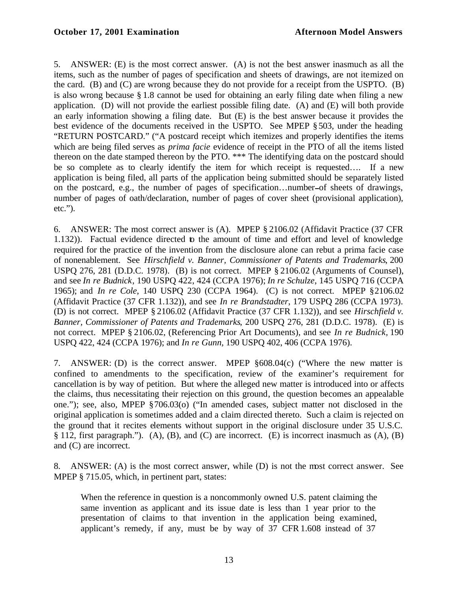# **October 17, 2001 Examination Afternoon Model Answers**

5. ANSWER: (E) is the most correct answer. (A) is not the best answer inasmuch as all the items, such as the number of pages of specification and sheets of drawings, are not itemized on the card. (B) and (C) are wrong because they do not provide for a receipt from the USPTO. (B) is also wrong because § 1.8 cannot be used for obtaining an early filing date when filing a new application. (D) will not provide the earliest possible filing date. (A) and (E) will both provide an early information showing a filing date. But (E) is the best answer because it provides the best evidence of the documents received in the USPTO. See MPEP §503, under the heading "RETURN POSTCARD." ("A postcard receipt which itemizes and properly identifies the items which are being filed serves as *prima facie* evidence of receipt in the PTO of all the items listed thereon on the date stamped thereon by the PTO. \*\*\* The identifying data on the postcard should be so complete as to clearly identify the item for which receipt is requested…. If a new application is being filed, all parts of the application being submitted should be separately listed on the postcard, e.g., the number of pages of specification…number of sheets of drawings, number of pages of oath/declaration, number of pages of cover sheet (provisional application), etc.").

6. ANSWER: The most correct answer is (A). MPEP § 2106.02 (Affidavit Practice (37 CFR 1.132)). Factual evidence directed to the amount of time and effort and level of knowledge required for the practice of the invention from the disclosure alone can rebut a prima facie case of nonenablement. See *Hirschfield v. Banner, Commissioner of Patents and Trademarks*, 200 USPQ 276, 281 (D.D.C. 1978). (B) is not correct. MPEP § 2106.02 (Arguments of Counsel), and see *In re Budnick*, 190 USPQ 422, 424 (CCPA 1976); *In re Schulze*, 145 USPQ 716 (CCPA 1965); and *In re Cole*, 140 USPQ 230 (CCPA 1964). (C) is not correct. MPEP §2106.02 (Affidavit Practice (37 CFR 1.132)), and see *In re Brandstadter*, 179 USPQ 286 (CCPA 1973). (D) is not correct. MPEP § 2106.02 (Affidavit Practice (37 CFR 1.132)), and see *Hirschfield v. Banner, Commissioner of Patents and Trademarks*, 200 USPQ 276, 281 (D.D.C. 1978). (E) is not correct. MPEP § 2106.02, (Referencing Prior Art Documents), and see *In re Budnick,* 190 USPQ 422, 424 (CCPA 1976); and *In re Gunn,* 190 USPQ 402, 406 (CCPA 1976).

7. ANSWER: (D) is the correct answer. MPEP §608.04(c) ("Where the new matter is confined to amendments to the specification, review of the examiner's requirement for cancellation is by way of petition. But where the alleged new matter is introduced into or affects the claims, thus necessitating their rejection on this ground, the question becomes an appealable one."); see, also, MPEP §706.03(o) ("In amended cases, subject matter not disclosed in the original application is sometimes added and a claim directed thereto. Such a claim is rejected on the ground that it recites elements without support in the original disclosure under 35 U.S.C. § 112, first paragraph."). (A), (B), and (C) are incorrect. (E) is incorrect inasmuch as (A), (B) and (C) are incorrect.

8. ANSWER: (A) is the most correct answer, while (D) is not the most correct answer. See MPEP § 715.05, which, in pertinent part, states:

When the reference in question is a noncommonly owned U.S. patent claiming the same invention as applicant and its issue date is less than 1 year prior to the presentation of claims to that invention in the application being examined, applicant's remedy, if any, must be by way of 37 CFR 1.608 instead of 37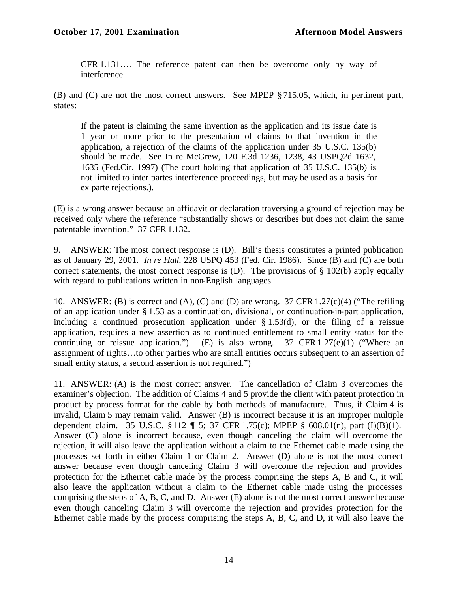CFR 1.131…. The reference patent can then be overcome only by way of interference.

(B) and (C) are not the most correct answers. See MPEP § 715.05, which, in pertinent part, states:

If the patent is claiming the same invention as the application and its issue date is 1 year or more prior to the presentation of claims to that invention in the application, a rejection of the claims of the application under 35 U.S.C. 135(b) should be made. See In re McGrew, 120 F.3d 1236, 1238, 43 USPQ2d 1632, 1635 (Fed.Cir. 1997) (The court holding that application of 35 U.S.C. 135(b) is not limited to inter partes interference proceedings, but may be used as a basis for ex parte rejections.).

(E) is a wrong answer because an affidavit or declaration traversing a ground of rejection may be received only where the reference "substantially shows or describes but does not claim the same patentable invention." 37 CFR 1.132.

9. ANSWER: The most correct response is (D). Bill's thesis constitutes a printed publication as of January 29, 2001. *In re Hall*, 228 USPQ 453 (Fed. Cir. 1986). Since (B) and (C) are both correct statements, the most correct response is  $(D)$ . The provisions of § 102(b) apply equally with regard to publications written in non-English languages.

10. ANSWER: (B) is correct and (A), (C) and (D) are wrong. 37 CFR 1.27(c)(4) ("The refiling of an application under § 1.53 as a continuation, divisional, or continuation-in-part application, including a continued prosecution application under § 1.53(d), or the filing of a reissue application, requires a new assertion as to continued entitlement to small entity status for the continuing or reissue application."). (E) is also wrong.  $37 \text{ CFR } 1.27(e)(1)$  ("Where an assignment of rights…to other parties who are small entities occurs subsequent to an assertion of small entity status, a second assertion is not required.")

11. ANSWER: (A) is the most correct answer. The cancellation of Claim 3 overcomes the examiner's objection. The addition of Claims 4 and 5 provide the client with patent protection in product by process format for the cable by both methods of manufacture. Thus, if Claim 4 is invalid, Claim 5 may remain valid. Answer (B) is incorrect because it is an improper multiple dependent claim. 35 U.S.C. §112 ¶ 5; 37 CFR 1.75(c); MPEP § 608.01(n), part (I)(B)(1). Answer (C) alone is incorrect because, even though canceling the claim will overcome the rejection, it will also leave the application without a claim to the Ethernet cable made using the processes set forth in either Claim 1 or Claim 2. Answer (D) alone is not the most correct answer because even though canceling Claim 3 will overcome the rejection and provides protection for the Ethernet cable made by the process comprising the steps A, B and C, it will also leave the application without a claim to the Ethernet cable made using the processes comprising the steps of A, B, C, and D. Answer (E) alone is not the most correct answer because even though canceling Claim 3 will overcome the rejection and provides protection for the Ethernet cable made by the process comprising the steps A, B, C, and D, it will also leave the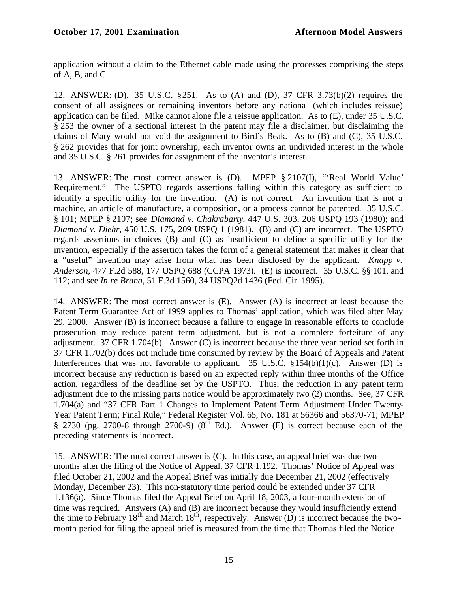application without a claim to the Ethernet cable made using the processes comprising the steps of A, B, and C.

12. ANSWER: (D). 35 U.S.C. §251. As to (A) and (D), 37 CFR 3.73(b)(2) requires the consent of all assignees or remaining inventors before any national (which includes reissue) application can be filed. Mike cannot alone file a reissue application. As to (E), under 35 U.S.C. § 253 the owner of a sectional interest in the patent may file a disclaimer, but disclaiming the claims of Mary would not void the assignment to Bird's Beak. As to (B) and (C), 35 U.S.C. § 262 provides that for joint ownership, each inventor owns an undivided interest in the whole and 35 U.S.C. § 261 provides for assignment of the inventor's interest.

13. ANSWER: The most correct answer is (D). MPEP § 2107(I), "'Real World Value' Requirement." The USPTO regards assertions falling within this category as sufficient to identify a specific utility for the invention. (A) is not correct. An invention that is not a machine, an artic le of manufacture, a composition, or a process cannot be patented. 35 U.S.C. § 101; MPEP § 2107; see *Diamond v. Chakrabarty*, 447 U.S. 303, 206 USPQ 193 (1980); and *Diamond v. Diehr*, 450 U.S. 175, 209 USPQ 1 (1981). (B) and (C) are incorrect. The USPTO regards assertions in choices (B) and (C) as insufficient to define a specific utility for the invention, especially if the assertion takes the form of a general statement that makes it clear that a "useful" invention may arise from what has been disclosed by the applicant. *Knapp v. Anderson*, 477 F.2d 588, 177 USPQ 688 (CCPA 1973). (E) is incorrect. 35 U.S.C. §§ 101, and 112; and see *In re Brana*, 51 F.3d 1560, 34 USPQ2d 1436 (Fed. Cir. 1995).

14. ANSWER: The most correct answer is (E). Answer (A) is incorrect at least because the Patent Term Guarantee Act of 1999 applies to Thomas' application, which was filed after May 29, 2000. Answer (B) is incorrect because a failure to engage in reasonable efforts to conclude prosecution may reduce patent term adjustment, but is not a complete forfeiture of any adjustment. 37 CFR 1.704(b). Answer (C) is incorrect because the three year period set forth in 37 CFR 1.702(b) does not include time consumed by review by the Board of Appeals and Patent Interferences that was not favorable to applicant. 35 U.S.C.  $\S 154(b)(1)(c)$ . Answer (D) is incorrect because any reduction is based on an expected reply within three months of the Office action, regardless of the deadline set by the USPTO. Thus, the reduction in any patent term adjustment due to the missing parts notice would be approximately two (2) months. See, 37 CFR 1.704(a) and "37 CFR Part 1 Changes to Implement Patent Term Adjustment Under Twenty-Year Patent Term; Final Rule," Federal Register Vol. 65, No. 181 at 56366 and 56370-71; MPEP § 2730 (pg. 2700-8 through 2700-9) ( $8^{th}$  Ed.). Answer (E) is correct because each of the preceding statements is incorrect.

15. ANSWER: The most correct answer is (C). In this case, an appeal brief was due two months after the filing of the Notice of Appeal. 37 CFR 1.192. Thomas' Notice of Appeal was filed October 21, 2002 and the Appeal Brief was initially due December 21, 2002 (effectively Monday, December 23). This non-statutory time period could be extended under 37 CFR 1.136(a). Since Thomas filed the Appeal Brief on April 18, 2003, a four-month extension of time was required. Answers (A) and (B) are incorrect because they would insufficiently extend the time to February  $18<sup>th</sup>$  and March  $18<sup>th</sup>$ , respectively. Answer (D) is incorrect because the twomonth period for filing the appeal brief is measured from the time that Thomas filed the Notice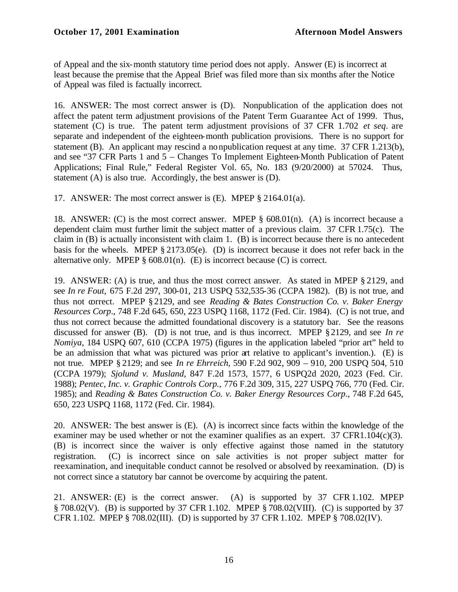# **October 17, 2001 Examination Afternoon Model Answers**

of Appeal and the six-month statutory time period does not apply. Answer (E) is incorrect at least because the premise that the Appeal Brief was filed more than six months after the Notice of Appeal was filed is factually incorrect.

16. ANSWER: The most correct answer is (D). Nonpublication of the application does not affect the patent term adjustment provisions of the Patent Term Guarantee Act of 1999. Thus, statement (C) is true. The patent term adjustment provisions of 37 CFR 1.702 *et seq*. are separate and independent of the eighteen-month publication provisions. There is no support for statement (B). An applicant may rescind a nonpublication request at any time. 37 CFR 1.213(b), and see "37 CFR Parts 1 and 5 – Changes To Implement Eighteen-Month Publication of Patent Applications; Final Rule," Federal Register Vol. 65, No. 183 (9/20/2000) at 57024. Thus, statement (A) is also true. Accordingly, the best answer is (D).

17. ANSWER: The most correct answer is (E). MPEP § 2164.01(a).

18. ANSWER: (C) is the most correct answer. MPEP § 608.01(n). (A) is incorrect because a dependent claim must further limit the subject matter of a previous claim. 37 CFR 1.75(c). The claim in (B) is actually inconsistent with claim 1. (B) is incorrect because there is no antecedent basis for the wheels. MPEP § 2173.05(e). (D) is incorrect because it does not refer back in the alternative only. MPEP  $\S$  608.01(n). (E) is incorrect because (C) is correct.

19. ANSWER: (A) is true, and thus the most correct answer. As stated in MPEP § 2129, and see *In re Fout,* 675 F.2d 297, 300-01, 213 USPQ 532,535-36 (CCPA 1982). (B) is not true, and thus not correct. MPEP § 2129, and see *Reading & Bates Construction Co. v. Baker Energy Resources Corp*., 748 F.2d 645, 650, 223 USPQ 1168, 1172 (Fed. Cir. 1984). (C) is not true, and thus not correct because the admitted foundational discovery is a statutory bar. See the reasons discussed for answer (B). (D) is not true, and is thus incorrect. MPEP §2129, and see *In re Nomiya*, 184 USPQ 607, 610 (CCPA 1975) (figures in the application labeled "prior art" held to be an admission that what was pictured was prior art relative to applicant's invention.). (E) is not true. MPEP § 2129; and see *In re Ehrreich*, 590 F.2d 902, 909 – 910, 200 USPQ 504, 510 (CCPA 1979); *Sjolund v. Musland*, 847 F.2d 1573, 1577, 6 USPQ2d 2020, 2023 (Fed. Cir. 1988); *Pentec, Inc. v. Graphic Controls Corp.*, 776 F.2d 309, 315, 227 USPQ 766, 770 (Fed. Cir. 1985); and *Reading & Bates Construction Co. v. Baker Energy Resources Corp*., 748 F.2d 645, 650, 223 USPQ 1168, 1172 (Fed. Cir. 1984).

20. ANSWER: The best answer is (E). (A) is incorrect since facts within the knowledge of the examiner may be used whether or not the examiner qualifies as an expert.  $37 \text{ CFR1.104}(c)(3)$ . (B) is incorrect since the waiver is only effective against those named in the statutory registration. (C) is incorrect since on sale activities is not proper subject matter for reexamination, and inequitable conduct cannot be resolved or absolved by reexamination. (D) is not correct since a statutory bar cannot be overcome by acquiring the patent.

21. ANSWER: (E) is the correct answer. (A) is supported by 37 CFR 1.102. MPEP § 708.02(V). (B) is supported by 37 CFR 1.102. MPEP § 708.02(VIII). (C) is supported by 37 CFR 1.102. MPEP § 708.02(III). (D) is supported by 37 CFR 1.102. MPEP § 708.02(IV).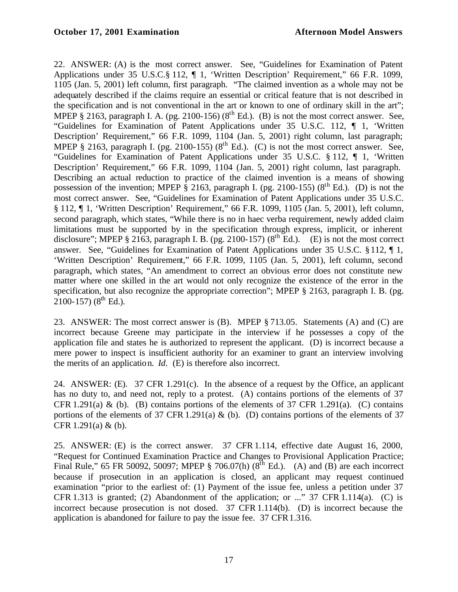22. ANSWER: (A) is the most correct answer. See, "Guidelines for Examination of Patent Applications under 35 U.S.C.§ 112, ¶ 1, 'Written Description' Requirement," 66 F.R. 1099, 1105 (Jan. 5, 2001) left column, first paragraph. "The claimed invention as a whole may not be adequately described if the claims require an essential or critical feature that is not described in the specification and is not conventional in the art or known to one of ordinary skill in the art"; MPEP § 2163, paragraph I. A. (pg. 2100-156) ( $8<sup>th</sup>$  Ed.). (B) is not the most correct answer. See, "Guidelines for Examination of Patent Applications under 35 U.S.C. 112, ¶ 1, 'Written Description' Requirement," 66 F.R. 1099, 1104 (Jan. 5, 2001) right column, last paragraph; MPEP § 2163, paragraph I. (pg. 2100-155) ( $8<sup>th</sup>$  Ed.). (C) is not the most correct answer. See, "Guidelines for Examination of Patent Applications under 35 U.S.C. § 112, ¶ 1, 'Written Description' Requirement," 66 F.R. 1099, 1104 (Jan. 5, 2001) right column, last paragraph. Describing an actual reduction to practice of the claimed invention is a means of showing possession of the invention; MPEP § 2163, paragraph I. (pg. 2100-155) ( $8<sup>th</sup>$  Ed.). (D) is not the most correct answer. See, "Guidelines for Examination of Patent Applications under 35 U.S.C. § 112, ¶ 1, 'Written Description' Requirement," 66 F.R. 1099, 1105 (Jan. 5, 2001), left column, second paragraph, which states, "While there is no in haec verba requirement, newly added claim limitations must be supported by in the specification through express, implicit, or inherent disclosure"; MPEP § 2163, paragraph I. B. (pg. 2100-157) ( $8<sup>th</sup>$  Ed.). (E) is not the most correct answer. See, "Guidelines for Examination of Patent Applications under 35 U.S.C. §112, ¶ 1, 'Written Description' Requirement," 66 F.R. 1099, 1105 (Jan. 5, 2001), left column, second paragraph, which states, "An amendment to correct an obvious error does not constitute new matter where one skilled in the art would not only recognize the existence of the error in the specification, but also recognize the appropriate correction"; MPEP § 2163, paragraph I. B. (pg.  $2100-157$ ) ( $8^{th}$  Ed.).

23. ANSWER: The most correct answer is (B). MPEP § 713.05. Statements (A) and (C) are incorrect because Greene may participate in the interview if he possesses a copy of the application file and states he is authorized to represent the applicant. (D) is incorrect because a mere power to inspect is insufficient authority for an examiner to grant an interview involving the merits of an application. *Id*. (E) is therefore also incorrect.

24. ANSWER: (E). 37 CFR 1.291(c). In the absence of a request by the Office, an applicant has no duty to, and need not, reply to a protest. (A) contains portions of the elements of 37 CFR 1.291(a) & (b). (B) contains portions of the elements of 37 CFR 1.291(a). (C) contains portions of the elements of 37 CFR 1.291(a) & (b). (D) contains portions of the elements of 37 CFR 1.291(a) & (b).

25. ANSWER: (E) is the correct answer. 37 CFR 1.114, effective date August 16, 2000, "Request for Continued Examination Practice and Changes to Provisional Application Practice; Final Rule," 65 FR 50092, 50097; MPEP § 706.07(h)  $(8^{th}$  Ed.). (A) and (B) are each incorrect because if prosecution in an application is closed, an applicant may request continued examination "prior to the earliest of: (1) Payment of the issue fee, unless a petition under 37 CFR 1.313 is granted; (2) Abandonment of the application; or ..." 37 CFR 1.114(a). (C) is incorrect because prosecution is not closed. 37 CFR 1.114(b). (D) is incorrect because the application is abandoned for failure to pay the issue fee. 37 CFR1.316.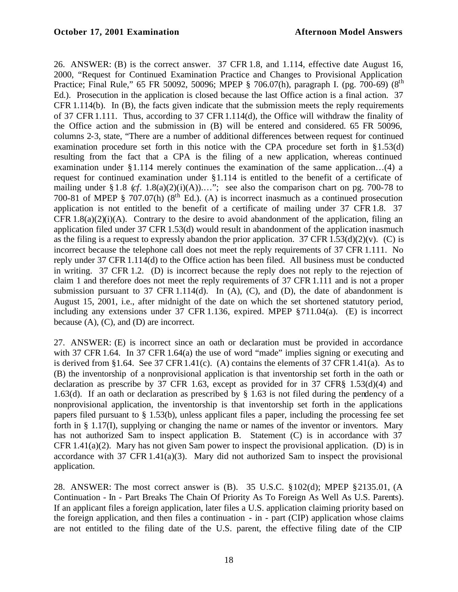26. ANSWER: (B) is the correct answer. 37 CFR 1.8, and 1.114, effective date August 16, 2000, "Request for Continued Examination Practice and Changes to Provisional Application Practice; Final Rule," 65 FR 50092, 50096; MPEP § 706.07(h), paragraph I. (pg. 700-69) (8<sup>th</sup> Ed.). Prosecution in the application is closed because the last Office action is a final action. 37 CFR 1.114(b). In (B), the facts given indicate that the submission meets the reply requirements of 37 CFR1.111. Thus, according to 37 CFR1.114(d), the Office will withdraw the finality of the Office action and the submission in (B) will be entered and considered. 65 FR 50096, columns 2-3, state, "There are a number of additional differences between request for continued examination procedure set forth in this notice with the CPA procedure set forth in §1.53(d) resulting from the fact that a CPA is the filing of a new application, whereas continued examination under §1.114 merely continues the examination of the same application…(4) a request for continued examination under §1.114 is entitled to the benefit of a certificate of mailing under § 1.8 (*cf.* 1.8(a)(2)(i)(A))...."; see also the comparison chart on pg. 700-78 to 700-81 of MPEP § 707.07(h)  $(8^{th}$  Ed.). (A) is incorrect inasmuch as a continued prosecution application is not entitled to the benefit of a certificate of mailing under 37 CFR 1.8. 37 CFR  $1.8(a)(2)(i)$  (A). Contrary to the desire to avoid abandonment of the application, filing an application filed under 37 CFR 1.53(d) would result in abandonment of the application inasmuch as the filing is a request to expressly abandon the prior application. 37 CFR 1.53(d)(2)(v). (C) is incorrect because the telephone call does not meet the reply requirements of 37 CFR 1.111. No reply under 37 CFR 1.114(d) to the Office action has been filed. All business must be conducted in writing. 37 CFR 1.2. (D) is incorrect because the reply does not reply to the rejection of claim 1 and therefore does not meet the reply requirements of 37 CFR 1.111 and is not a proper submission pursuant to 37 CFR 1.114(d). In  $(A)$ ,  $(C)$ , and  $(D)$ , the date of abandonment is August 15, 2001, i.e., after midnight of the date on which the set shortened statutory period, including any extensions under 37 CFR 1.136, expired. MPEP §711.04(a). (E) is incorrect because  $(A)$ ,  $(C)$ , and  $(D)$  are incorrect.

27. ANSWER: (E) is incorrect since an oath or declaration must be provided in accordance with 37 CFR 1.64. In 37 CFR 1.64(a) the use of word "made" implies signing or executing and is derived from §1.64. See 37 CFR 1.41(c). (A) contains the elements of 37 CFR 1.41(a). As to (B) the inventorship of a nonprovisional application is that inventorship set forth in the oath or declaration as prescribe by 37 CFR 1.63, except as provided for in 37 CFR§ 1.53(d)(4) and 1.63(d). If an oath or declaration as prescribed by § 1.63 is not filed during the pendency of a nonprovisional application, the inventorship is that inventorship set forth in the applications papers filed pursuant to § 1.53(b), unless applicant files a paper, including the processing fee set forth in § 1.17(I), supplying or changing the name or names of the inventor or inventors. Mary has not authorized Sam to inspect application B. Statement (C) is in accordance with 37 CFR 1.41(a)(2). Mary has not given Sam power to inspect the provisional application. (D) is in accordance with 37 CFR 1.41(a)(3). Mary did not authorized Sam to inspect the provisional application.

28. ANSWER: The most correct answer is (B). 35 U.S.C. §102(d); MPEP §2135.01, (A Continuation - In - Part Breaks The Chain Of Priority As To Foreign As Well As U.S. Parents). If an applicant files a foreign application, later files a U.S. application claiming priority based on the foreign application, and then files a continuation - in - part (CIP) application whose claims are not entitled to the filing date of the U.S. parent, the effective filing date of the CIP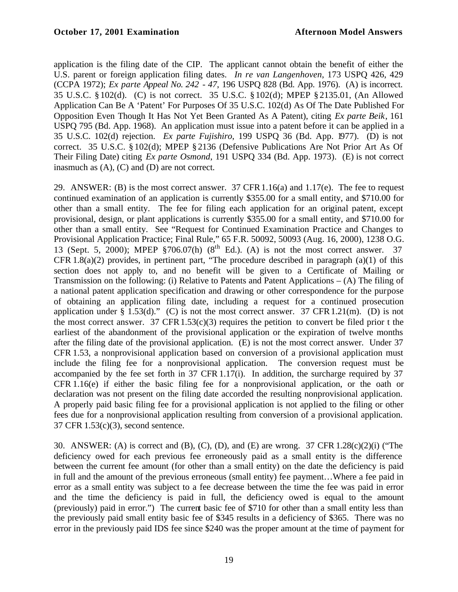application is the filing date of the CIP. The applicant cannot obtain the benefit of either the U.S. parent or foreign application filing dates. *In re van Langenhoven*, 173 USPQ 426, 429 (CCPA 1972); *Ex parte Appeal No. 242 - 47*, 196 USPQ 828 (Bd. App. 1976). (A) is incorrect. 35 U.S.C. § 102(d). (C) is not correct. 35 U.S.C. § 102(d); MPEP § 2135.01, (An Allowed Application Can Be A 'Patent' For Purposes Of 35 U.S.C. 102(d) As Of The Date Published For Opposition Even Though It Has Not Yet Been Granted As A Patent), citing *Ex parte Beik*, 161 USPQ 795 (Bd. App. 1968). An application must issue into a patent before it can be applied in a 35 U.S.C. 102(d) rejection. *Ex parte Fujishiro*, 199 USPQ 36 (Bd. App. 1977). (D) is not correct. 35 U.S.C. § 102(d); MPEP § 2136 (Defensive Publications Are Not Prior Art As Of Their Filing Date) citing *Ex parte Osmond*, 191 USPQ 334 (Bd. App. 1973). (E) is not correct inasmuch as (A), (C) and (D) are not correct.

29. ANSWER: (B) is the most correct answer. 37 CFR1.16(a) and 1.17(e). The fee to request continued examination of an application is currently \$355.00 for a small entity, and \$710.00 for other than a small entity. The fee for filing each application for an original patent, except provisional, design, or plant applications is currently \$355.00 for a small entity, and \$710.00 for other than a small entity. See "Request for Continued Examination Practice and Changes to Provisional Application Practice; Final Rule," 65 F.R. 50092, 50093 (Aug. 16, 2000), 1238 O.G. 13 (Sept. 5, 2000); MPEP  $\S706.07(h)$  ( $8^{th}$  Ed.). (A) is not the most correct answer. 37 CFR 1.8(a)(2) provides, in pertinent part, "The procedure described in paragraph (a)(1) of this section does not apply to, and no benefit will be given to a Certificate of Mailing or Transmission on the following: (i) Relative to Patents and Patent Applications – (A) The filing of a national patent application specification and drawing or other correspondence for the purpose of obtaining an application filing date, including a request for a continued prosecution application under § 1.53(d)." (C) is not the most correct answer. 37 CFR 1.21(m). (D) is not the most correct answer. 37 CFR  $1.53(c)(3)$  requires the petition to convert be filed prior t the earliest of the abandonment of the provisional application or the expiration of twelve months after the filing date of the provisional application. (E) is not the most correct answer. Under 37 CFR 1.53, a nonprovisional application based on conversion of a provisional application must include the filing fee for a nonprovisional application. The conversion request must be accompanied by the fee set forth in  $37$  CFR 1.17(i). In addition, the surcharge required by  $37$ CFR 1.16(e) if either the basic filing fee for a nonprovisional application, or the oath or declaration was not present on the filing date accorded the resulting nonprovisional application. A properly paid basic filing fee for a provisional application is not applied to the filing or other fees due for a nonprovisional application resulting from conversion of a provisional application. 37 CFR 1.53(c)(3), second sentence.

30. ANSWER: (A) is correct and (B), (C), (D), and (E) are wrong. 37 CFR 1.28(c)(2)(i) ("The deficiency owed for each previous fee erroneously paid as a small entity is the difference between the current fee amount (for other than a small entity) on the date the deficiency is paid in full and the amount of the previous erroneous (small entity) fee payment…Where a fee paid in error as a small entity was subject to a fee decrease between the time the fee was paid in error and the time the deficiency is paid in full, the deficiency owed is equal to the amount (previously) paid in error.") The current basic fee of \$710 for other than a small entity less than the previously paid small entity basic fee of \$345 results in a deficiency of \$365. There was no error in the previously paid IDS fee since \$240 was the proper amount at the time of payment for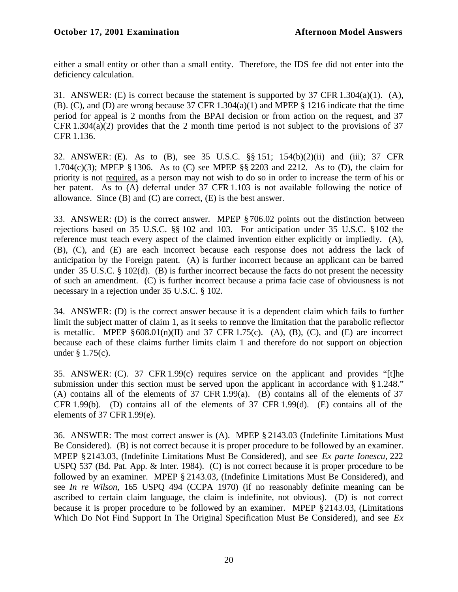either a small entity or other than a small entity. Therefore, the IDS fee did not enter into the deficiency calculation.

31. ANSWER: (E) is correct because the statement is supported by 37 CFR 1.304(a)(1). (A), (B). (C), and (D) are wrong because 37 CFR 1.304(a)(1) and MPEP § 1216 indicate that the time period for appeal is 2 months from the BPAI decision or from action on the request, and 37 CFR 1.304(a)(2) provides that the 2 month time period is not subject to the provisions of 37 CFR 1.136.

32. ANSWER: (E). As to (B), see 35 U.S.C. §§ 151; 154(b)(2)(ii) and (iii); 37 CFR 1.704(c)(3); MPEP § 1306. As to (C) see MPEP §§ 2203 and 2212. As to (D), the claim for priority is not required, as a person may not wish to do so in order to increase the term of his or her patent. As to (A) deferral under 37 CFR 1.103 is not available following the notice of allowance. Since  $(B)$  and  $(C)$  are correct,  $(E)$  is the best answer.

33. ANSWER: (D) is the correct answer. MPEP § 706.02 points out the distinction between rejections based on 35 U.S.C. §§ 102 and 103. For anticipation under 35 U.S.C. §102 the reference must teach every aspect of the claimed invention either explicitly or impliedly. (A), (B), (C), and (E) are each incorrect because each response does not address the lack of anticipation by the Foreign patent. (A) is further incorrect because an applicant can be barred under 35 U.S.C. § 102(d). (B) is further incorrect because the facts do not present the necessity of such an amendment. (C) is further incorrect because a prima facie case of obviousness is not necessary in a rejection under 35 U.S.C. § 102.

34. ANSWER: (D) is the correct answer because it is a dependent claim which fails to further limit the subject matter of claim 1, as it seeks to remove the limitation that the parabolic reflector is metallic. MPEP  $§608.01(n)(II)$  and 37 CFR 1.75(c). (A), (B), (C), and (E) are incorrect because each of these claims further limits claim 1 and therefore do not support on objection under § 1.75(c).

35. ANSWER: (C). 37 CFR 1.99(c) requires service on the applicant and provides "[t]he submission under this section must be served upon the applicant in accordance with §1.248." (A) contains all of the elements of 37 CFR 1.99(a). (B) contains all of the elements of 37 CFR 1.99(b). (D) contains all of the elements of 37 CFR 1.99(d). (E) contains all of the elements of 37 CFR 1.99(e).

36. ANSWER: The most correct answer is (A). MPEP § 2143.03 (Indefinite Limitations Must Be Considered). (B) is not correct because it is proper procedure to be followed by an examiner. MPEP § 2143.03, (Indefinite Limitations Must Be Considered), and see *Ex parte Ionescu*, 222 USPQ 537 (Bd. Pat. App. & Inter. 1984). (C) is not correct because it is proper procedure to be followed by an examiner. MPEP § 2143.03, (Indefinite Limitations Must Be Considered), and see *In re Wilson*, 165 USPQ 494 (CCPA 1970) (if no reasonably definite meaning can be ascribed to certain claim language, the claim is indefinite, not obvious). (D) is not correct because it is proper procedure to be followed by an examiner. MPEP §2143.03, (Limitations Which Do Not Find Support In The Original Specification Must Be Considered), and see *Ex*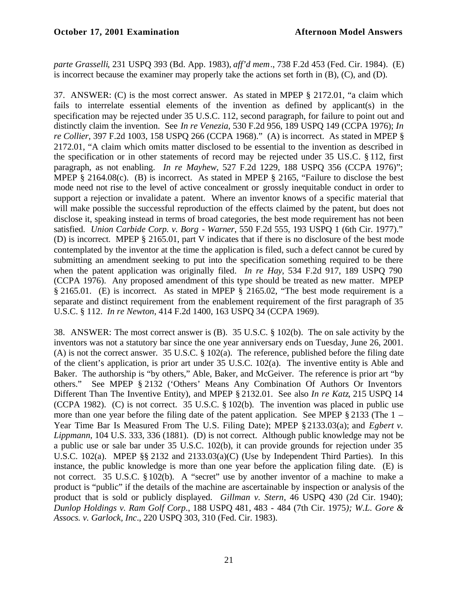*parte Grasselli*, 231 USPQ 393 (Bd. App. 1983), *aff'd mem*., 738 F.2d 453 (Fed. Cir. 1984). (E) is incorrect because the examiner may properly take the actions set forth in (B), (C), and (D).

37. ANSWER: (C) is the most correct answer. As stated in MPEP § 2172.01, "a claim which fails to interrelate essential elements of the invention as defined by applicant(s) in the specification may be rejected under 35 U.S.C. 112, second paragraph, for failure to point out and distinctly claim the invention. See *In re Venezia*, 530 F.2d 956, 189 USPQ 149 (CCPA 1976); *In re Collier*, 397 F.2d 1003, 158 USPQ 266 (CCPA 1968)." (A) is incorrect. As stated in MPEP § 2172.01, "A claim which omits matter disclosed to be essential to the invention as described in the specification or in other statements of record may be rejected under 35 U.S.C. § 112, first paragraph, as not enabling. *In re Mayhew*, 527 F.2d 1229, 188 USPQ 356 (CCPA 1976)"; MPEP § 2164.08(c). (B) is incorrect. As stated in MPEP § 2165, "Failure to disclose the best mode need not rise to the level of active concealment or grossly inequitable conduct in order to support a rejection or invalidate a patent. Where an inventor knows of a specific material that will make possible the successful reproduction of the effects claimed by the patent, but does not disclose it, speaking instead in terms of broad categories, the best mode requirement has not been satisfied. *Union Carbide Corp. v. Borg - Warner*, 550 F.2d 555, 193 USPQ 1 (6th Cir. 1977)." (D) is incorrect. MPEP § 2165.01, part V indicates that if there is no disclosure of the best mode contemplated by the inventor at the time the application is filed, such a defect cannot be cured by submitting an amendment seeking to put into the specification something required to be there when the patent application was originally filed. *In re Hay*, 534 F.2d 917, 189 USPQ 790 (CCPA 1976). Any proposed amendment of this type should be treated as new matter. MPEP § 2165.01. (E) is incorrect. As stated in MPEP § 2165.02, "The best mode requirement is a separate and distinct requirement from the enablement requirement of the first paragraph of 35 U.S.C. § 112. *In re Newton*, 414 F.2d 1400, 163 USPQ 34 (CCPA 1969).

38. ANSWER: The most correct answer is (B). 35 U.S.C. § 102(b). The on sale activity by the inventors was not a statutory bar since the one year anniversary ends on Tuesday, June 26, 2001. (A) is not the correct answer. 35 U.S.C. § 102(a). The reference, published before the filing date of the client's application, is prior art under 35 U.S.C. 102(a). The inventive entity is Able and Baker. The authorship is "by others," Able, Baker, and McGeiver. The reference is prior art "by others." See MPEP § 2132 ('Others' Means Any Combination Of Authors Or Inventors Different Than The Inventive Entity), and MPEP § 2132.01. See also *In re Katz*, 215 USPQ 14 (CCPA 1982). (C) is not correct. 35 U.S.C. § 102(b). The invention was placed in public use more than one year before the filing date of the patent application. See MPEP § 2133 (The 1 – Year Time Bar Is Measured From The U.S. Filing Date); MPEP § 2133.03(a); and *Egbert v. Lippmann*, 104 U.S. 333, 336 (1881). (D) is not correct. Although public knowledge may not be a public use or sale bar under 35 U.S.C. 102(b), it can provide grounds for rejection under 35 U.S.C. 102(a). MPEP §§ 2132 and 2133.03(a)(C) (Use by Independent Third Parties). In this instance, the public knowledge is more than one year before the application filing date. (E) is not correct. 35 U.S.C. § 102(b). A "secret" use by another inventor of a machine to make a product is "public" if the details of the machine are ascertainable by inspection or analysis of the product that is sold or publicly displayed. *Gillman v. Stern*, 46 USPQ 430 (2d Cir. 1940); *Dunlop Holdings v. Ram Golf Corp*., 188 USPQ 481, 483 - 484 (7th Cir. 1975*); W.L. Gore & Assocs. v. Garlock, Inc*., 220 USPQ 303, 310 (Fed. Cir. 1983).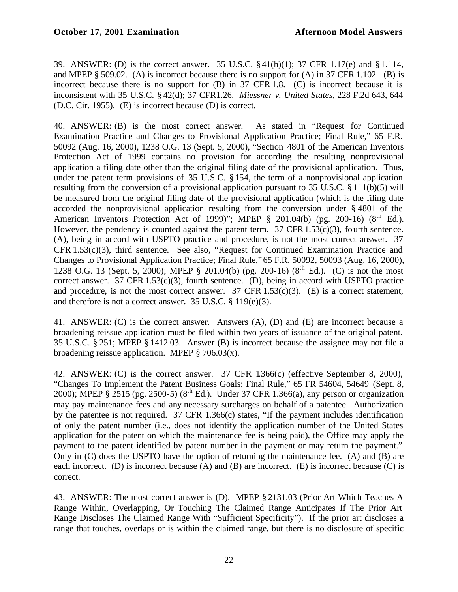39. ANSWER: (D) is the correct answer. 35 U.S.C. §41(h)(1); 37 CFR 1.17(e) and §1.114, and MPEP § 509.02. (A) is incorrect because there is no support for (A) in 37 CFR 1.102. (B) is incorrect because there is no support for (B) in 37 CFR 1.8. (C) is incorrect because it is inconsistent with 35 U.S.C. § 42(d); 37 CFR1.26. *Miessner v. United States*, 228 F.2d 643, 644 (D.C. Cir. 1955). (E) is incorrect because (D) is correct.

40. ANSWER: (B) is the most correct answer. As stated in "Request for Continued Examination Practice and Changes to Provisional Application Practice; Final Rule," 65 F.R. 50092 (Aug. 16, 2000), 1238 O.G. 13 (Sept. 5, 2000), "Section 4801 of the American Inventors Protection Act of 1999 contains no provision for according the resulting nonprovisional application a filing date other than the original filing date of the provisional application. Thus, under the patent term provisions of 35 U.S.C. § 154, the term of a nonprovisional application resulting from the conversion of a provisional application pursuant to 35 U.S.C. § 111(b)(5) will be measured from the original filing date of the provisional application (which is the filing date accorded the nonprovisional application resulting from the conversion under § 4801 of the American Inventors Protection Act of 1999)"; MPEP  $\S$  201.04(b) (pg. 200-16) ( $8<sup>th</sup>$  Ed.). However, the pendency is counted against the patent term.  $37 \text{ CFR}$ 1.53(c)(3), fourth sentence. (A), being in accord with USPTO practice and procedure, is not the most correct answer. 37 CFR 1.53(c)(3), third sentence. See also, "Request for Continued Examination Practice and Changes to Provisional Application Practice; Final Rule," 65 F.R. 50092, 50093 (Aug. 16, 2000), 1238 O.G. 13 (Sept. 5, 2000); MPEP § 201.04(b) (pg. 200-16) (8<sup>th</sup> Ed.). (C) is not the most correct answer. 37 CFR 1.53(c)(3), fourth sentence. (D), being in accord with USPTO practice and procedure, is not the most correct answer. 37 CFR  $1.53(c)(3)$ . (E) is a correct statement, and therefore is not a correct answer. 35 U.S.C. § 119(e)(3).

41. ANSWER: (C) is the correct answer. Answers (A), (D) and (E) are incorrect because a broadening reissue application must be filed within two years of issuance of the original patent. 35 U.S.C. § 251; MPEP § 1412.03. Answer (B) is incorrect because the assignee may not file a broadening reissue application. MPEP  $\S$  706.03(x).

42. ANSWER: (C) is the correct answer. 37 CFR 1.366(c) (effective September 8, 2000), "Changes To Implement the Patent Business Goals; Final Rule," 65 FR 54604, 54649 (Sept. 8, 2000); MPEP § 2515 (pg. 2500-5) ( $8^{th}$  Ed.). Under 37 CFR 1.366(a), any person or organization may pay maintenance fees and any necessary surcharges on behalf of a patentee. Authorization by the patentee is not required. 37 CFR 1.366(c) states, "If the payment includes identification of only the patent number (i.e., does not identify the application number of the United States application for the patent on which the maintenance fee is being paid), the Office may apply the payment to the patent identified by patent number in the payment or may return the payment." Only in (C) does the USPTO have the option of returning the maintenance fee. (A) and (B) are each incorrect. (D) is incorrect because (A) and (B) are incorrect. (E) is incorrect because (C) is correct.

43. ANSWER: The most correct answer is (D). MPEP § 2131.03 (Prior Art Which Teaches A Range Within, Overlapping, Or Touching The Claimed Range Anticipates If The Prior Art Range Discloses The Claimed Range With "Sufficient Specificity"). If the prior art discloses a range that touches, overlaps or is within the claimed range, but there is no disclosure of specific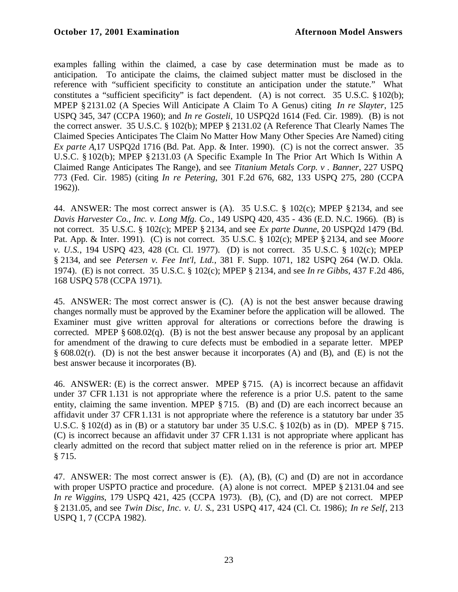examples falling within the claimed, a case by case determination must be made as to anticipation. To anticipate the claims, the claimed subject matter must be disclosed in the reference with "sufficient specificity to constitute an anticipation under the statute." What constitutes a "sufficient specificity" is fact dependent. (A) is not correct. 35 U.S.C. §102(b); MPEP § 2131.02 (A Species Will Anticipate A Claim To A Genus) citing *In re Slayter*, 125 USPQ 345, 347 (CCPA 1960); and *In re Gosteli*, 10 USPQ2d 1614 (Fed. Cir. 1989). (B) is not the correct answer. 35 U.S.C. § 102(b); MPEP § 2131.02 (A Reference That Clearly Names The Claimed Species Anticipates The Claim No Matter How Many Other Species Are Named) citing *Ex parte A*,17 USPQ2d 1716 (Bd. Pat. App. & Inter. 1990). (C) is not the correct answer. 35 U.S.C. § 102(b); MPEP § 2131.03 (A Specific Example In The Prior Art Which Is Within A Claimed Range Anticipates The Range), and see *Titanium Metals Corp. v . Banner*, 227 USPQ 773 (Fed. Cir. 1985) (citing *In re Petering*, 301 F.2d 676, 682, 133 USPQ 275, 280 (CCPA 1962)).

44. ANSWER: The most correct answer is (A). 35 U.S.C. § 102(c); MPEP §2134, and see *Davis Harvester Co., Inc. v. Long Mfg. Co.*, 149 USPQ 420, 435 - 436 (E.D. N.C. 1966). (B) is not correct. 35 U.S.C. § 102(c); MPEP § 2134, and see *Ex parte Dunne*, 20 USPQ2d 1479 (Bd. Pat. App. & Inter. 1991). (C) is not correct. 35 U.S.C. § 102(c); MPEP § 2134, and see *Moore v. U.S.*, 194 USPQ 423, 428 (Ct. Cl. 1977). (D) is not correct. 35 U.S.C. § 102(c); MPEP § 2134, and see *Petersen v. Fee Int'l, Ltd.*, 381 F. Supp. 1071, 182 USPQ 264 (W.D. Okla. 1974). (E) is not correct. 35 U.S.C. § 102(c); MPEP § 2134, and see *In re Gibbs*, 437 F.2d 486, 168 USPQ 578 (CCPA 1971).

45. ANSWER: The most correct answer is (C). (A) is not the best answer because drawing changes normally must be approved by the Examiner before the application will be allowed. The Examiner must give written approval for alterations or corrections before the drawing is corrected. MPEP  $\S 608.02(q)$ . (B) is not the best answer because any proposal by an applicant for amendment of the drawing to cure defects must be embodied in a separate letter. MPEP § 608.02(r). (D) is not the best answer because it incorporates (A) and (B), and (E) is not the best answer because it incorporates (B).

46. ANSWER: (E) is the correct answer. MPEP §715. (A) is incorrect because an affidavit under 37 CFR 1.131 is not appropriate where the reference is a prior U.S. patent to the same entity, claiming the same invention. MPEP § 715. (B) and (D) are each incorrect because an affidavit under 37 CFR1.131 is not appropriate where the reference is a statutory bar under 35 U.S.C.  $\S 102(d)$  as in (B) or a statutory bar under 35 U.S.C.  $\S 102(b)$  as in (D). MPEP  $\S 715$ . (C) is incorrect because an affidavit under 37 CFR 1.131 is not appropriate where applicant has clearly admitted on the record that subject matter relied on in the reference is prior art. MPEP § 715.

47. ANSWER: The most correct answer is (E). (A), (B), (C) and (D) are not in accordance with proper USPTO practice and procedure. (A) alone is not correct. MPEP § 2131.04 and see *In re Wiggins*, 179 USPQ 421, 425 (CCPA 1973). (B), (C), and (D) are not correct. MPEP § 2131.05, and see *Twin Disc, Inc. v. U. S*., 231 USPQ 417, 424 (Cl. Ct. 1986); *In re Self*, 213 USPQ 1, 7 (CCPA 1982).